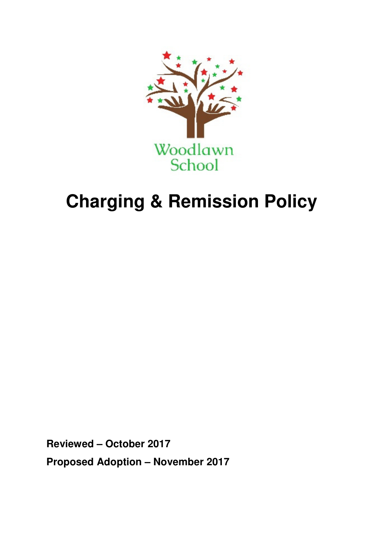

# **Charging & Remission Policy**

**Reviewed – October 2017** 

**Proposed Adoption – November 2017**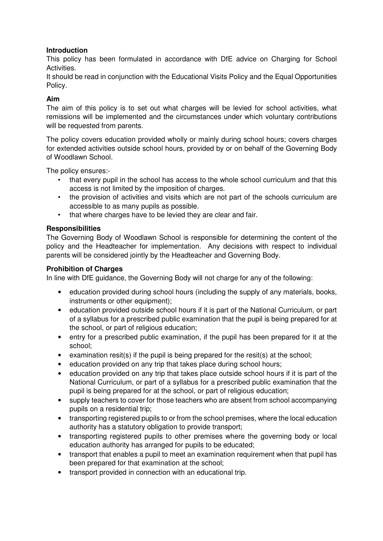# **Introduction**

This policy has been formulated in accordance with DfE advice on Charging for School Activities.

It should be read in conjunction with the Educational Visits Policy and the Equal Opportunities Policy.

#### **Aim**

The aim of this policy is to set out what charges will be levied for school activities, what remissions will be implemented and the circumstances under which voluntary contributions will be requested from parents.

The policy covers education provided wholly or mainly during school hours; covers charges for extended activities outside school hours, provided by or on behalf of the Governing Body of Woodlawn School.

The policy ensures:-

- that every pupil in the school has access to the whole school curriculum and that this access is not limited by the imposition of charges.
- the provision of activities and visits which are not part of the schools curriculum are accessible to as many pupils as possible.
- that where charges have to be levied they are clear and fair.

### **Responsibilities**

The Governing Body of Woodlawn School is responsible for determining the content of the policy and the Headteacher for implementation. Any decisions with respect to individual parents will be considered jointly by the Headteacher and Governing Body.

### **Prohibition of Charges**

In line with DfE guidance, the Governing Body will not charge for any of the following:

- education provided during school hours (including the supply of any materials, books, instruments or other equipment);
- education provided outside school hours if it is part of the National Curriculum, or part of a syllabus for a prescribed public examination that the pupil is being prepared for at the school, or part of religious education;
- entry for a prescribed public examination, if the pupil has been prepared for it at the school;
- examination resit(s) if the pupil is being prepared for the resit(s) at the school;
- education provided on any trip that takes place during school hours;
- education provided on any trip that takes place outside school hours if it is part of the National Curriculum, or part of a syllabus for a prescribed public examination that the pupil is being prepared for at the school, or part of religious education;
- supply teachers to cover for those teachers who are absent from school accompanying pupils on a residential trip;
- transporting registered pupils to or from the school premises, where the local education authority has a statutory obligation to provide transport;
- transporting registered pupils to other premises where the governing body or local education authority has arranged for pupils to be educated;
- transport that enables a pupil to meet an examination requirement when that pupil has been prepared for that examination at the school;
- transport provided in connection with an educational trip.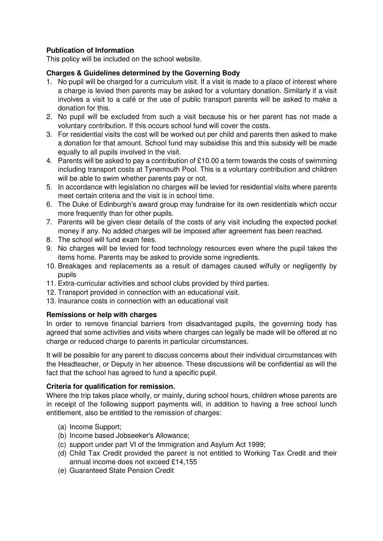# **Publication of Information**

This policy will be included on the school website.

# **Charges & Guidelines determined by the Governing Body**

- 1. No pupil will be charged for a curriculum visit. If a visit is made to a place of interest where a charge is levied then parents may be asked for a voluntary donation. Similarly if a visit involves a visit to a café or the use of public transport parents will be asked to make a donation for this.
- 2. No pupil will be excluded from such a visit because his or her parent has not made a voluntary contribution. If this occurs school fund will cover the costs.
- 3. For residential visits the cost will be worked out per child and parents then asked to make a donation for that amount. School fund may subsidise this and this subsidy will be made equally to all pupils involved in the visit.
- 4. Parents will be asked to pay a contribution of £10.00 a term towards the costs of swimming including transport costs at Tynemouth Pool. This is a voluntary contribution and children will be able to swim whether parents pay or not.
- 5. In accordance with legislation no charges will be levied for residential visits where parents meet certain criteria and the visit is in school time.
- 6. The Duke of Edinburgh's award group may fundraise for its own residentials which occur more frequently than for other pupils.
- 7. Parents will be given clear details of the costs of any visit including the expected pocket money if any. No added charges will be imposed after agreement has been reached.
- 8. The school will fund exam fees.
- 9. No charges will be levied for food technology resources even where the pupil takes the items home. Parents may be asked to provide some ingredients.
- 10. Breakages and replacements as a result of damages caused wilfully or negligently by pupils
- 11. Extra-curricular activities and school clubs provided by third parties.
- 12. Transport provided in connection with an educational visit.
- 13. Insurance costs in connection with an educational visit

# **Remissions or help with charges**

In order to remove financial barriers from disadvantaged pupils, the governing body has agreed that some activities and visits where charges can legally be made will be offered at no charge or reduced charge to parents in particular circumstances.

It will be possible for any parent to discuss concerns about their individual circumstances with the Headteacher, or Deputy in her absence. These discussions will be confidential as will the fact that the school has agreed to fund a specific pupil.

#### **Criteria for qualification for remission.**

Where the trip takes place wholly, or mainly, during school hours, children whose parents are in receipt of the following support payments will, in addition to having a free school lunch entitlement, also be entitled to the remission of charges:

- (a) Income Support;
- (b) Income based Jobseeker's Allowance;
- (c) support under part VI of the Immigration and Asylum Act 1999;
- (d) Child Tax Credit provided the parent is not entitled to Working Tax Credit and their annual income does not exceed £14,155
- (e) Guaranteed State Pension Credit